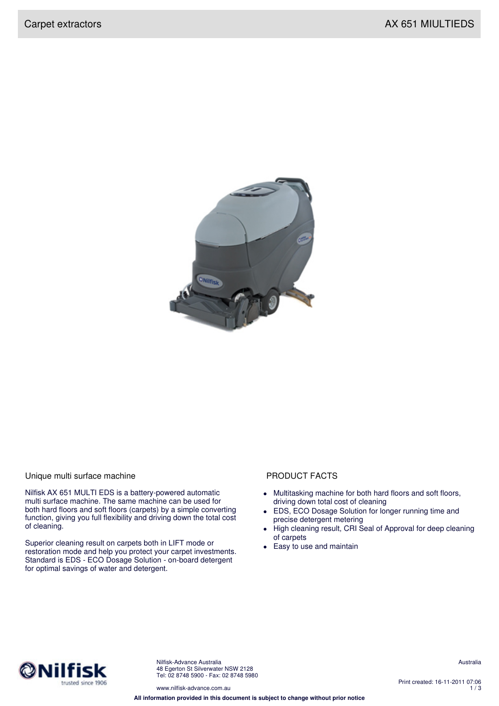

## Unique multi surface machine **PRODUCT FACTS**

Nilfisk AX 651 MULTI EDS is a battery-powered automatic multi surface machine. The same machine can be used for both hard floors and soft floors (carpets) by a simple converting function, giving you full flexibility and driving down the total cost of cleaning.

Superior cleaning result on carpets both in LIFT mode or restoration mode and help you protect your carpet investments. Standard is EDS - ECO Dosage Solution - on-board detergent for optimal savings of water and detergent.

- Multitasking machine for both hard floors and soft floors, driving down total cost of cleaning
- EDS, ECO Dosage Solution for longer running time and precise detergent metering
- High cleaning result, CRI Seal of Approval for deep cleaning of carpets
- Easy to use and maintain



Nilfisk-Advance Australia 48 Egerton St Silverwater NSW 2128 Tel: 02 8748 5900 - Fax: 02 8748 5980 Australia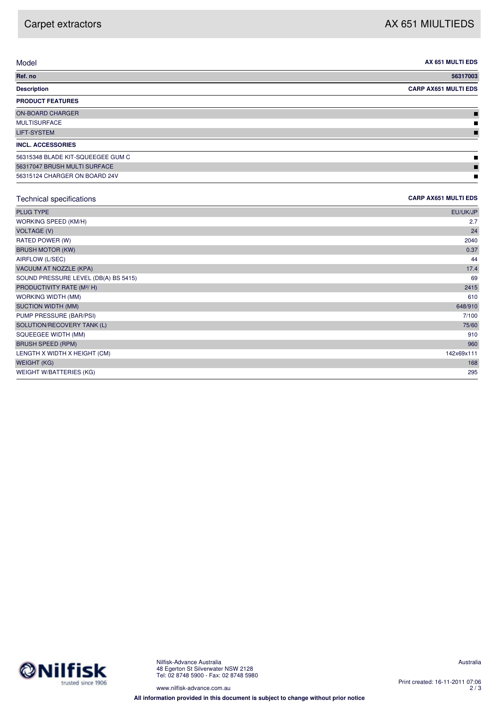$\blacksquare$ 

| Model                             | AX 651 MULTI EDS            |
|-----------------------------------|-----------------------------|
| Ref. no                           | 56317003                    |
| <b>Description</b>                | <b>CARP AX651 MULTI EDS</b> |
| <b>PRODUCT FEATURES</b>           |                             |
| ON-BOARD CHARGER                  |                             |
| MULTISURFACE                      | Ш                           |
| <b>LIFT-SYSTEM</b>                |                             |
| <b>INCL. ACCESSORIES</b>          |                             |
| 56315348 BLADE KIT-SQUEEGEE GUM C | ш                           |
| 56317047 BRUSH MULTI SURFACE      |                             |

56315124 CHARGER ON BOARD 24V

## Technical specifications **CARP AX651 MULTI EDS**

| <b>PLUG TYPE</b>                      | EU/UK/JP   |
|---------------------------------------|------------|
| WORKING SPEED (KM/H)                  | 2.7        |
| <b>VOLTAGE (V)</b>                    | 24         |
| RATED POWER (W)                       | 2040       |
| <b>BRUSH MOTOR (KW)</b>               | 0.37       |
| AIRFLOW (L/SEC)                       | 44         |
| VACUUM AT NOZZLE (KPA)                | 17.4       |
| SOUND PRESSURE LEVEL (DB(A) BS 5415)  | 69         |
| PRODUCTIVITY RATE (M <sup>2</sup> /H) | 2415       |
| WORKING WIDTH (MM)                    | 610        |
| <b>SUCTION WIDTH (MM)</b>             | 648/910    |
| PUMP PRESSURE (BAR/PSI)               | 7/100      |
| SOLUTION/RECOVERY TANK (L)            | 75/60      |
| SQUEEGEE WIDTH (MM)                   | 910        |
| <b>BRUSH SPEED (RPM)</b>              | 960        |
| LENGTH X WIDTH X HEIGHT (CM)          | 142x69x111 |
| <b>WEIGHT (KG)</b>                    | 168        |
| <b>WEIGHT W/BATTERIES (KG)</b>        | 295        |
|                                       |            |



www.nilfisk-advance.com.au